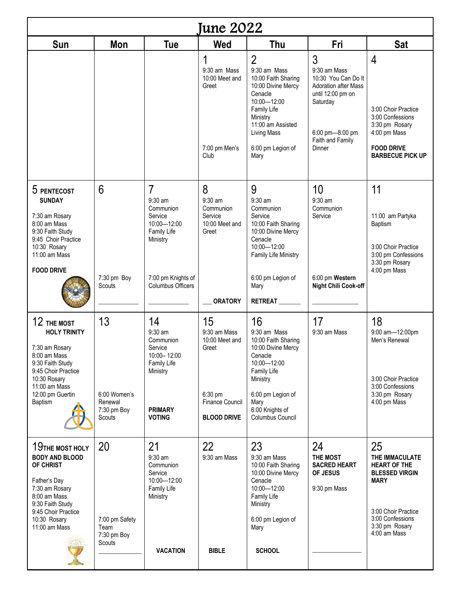| <b>June 2022</b>                                                                                                                                                                       |                                                       |                                                                                                                                                 |                                                                                    |                                                                                                                                                                                                          |                                                                                                                                                                 |                                                                                                                                                                  |  |  |  |  |
|----------------------------------------------------------------------------------------------------------------------------------------------------------------------------------------|-------------------------------------------------------|-------------------------------------------------------------------------------------------------------------------------------------------------|------------------------------------------------------------------------------------|----------------------------------------------------------------------------------------------------------------------------------------------------------------------------------------------------------|-----------------------------------------------------------------------------------------------------------------------------------------------------------------|------------------------------------------------------------------------------------------------------------------------------------------------------------------|--|--|--|--|
| Sun                                                                                                                                                                                    | Mon                                                   | <b>Tue</b>                                                                                                                                      | Wed                                                                                | Thu                                                                                                                                                                                                      | Fri                                                                                                                                                             | <b>Sat</b>                                                                                                                                                       |  |  |  |  |
|                                                                                                                                                                                        |                                                       |                                                                                                                                                 | $\mathbf 1$<br>9:30 am Mass<br>10:00 Meet and<br>Greet<br>7:00 pm Men's<br>Club    | $\overline{2}$<br>9:30 am Mass<br>10:00 Faith Sharing<br>10:00 Divine Mercy<br>Cenacle<br>10:00-12:00<br>Family Life<br>Ministry<br>11:00 am Assisted<br><b>Living Mass</b><br>6:00 pm Legion of<br>Mary | $\overline{3}$<br>9:30 am Mass<br>10:30 You Can Do It<br>Adoration after Mass<br>until 12:00 pm on<br>Saturday<br>6:00 pm-8:00 pm<br>Faith and Family<br>Dinner | 4<br>3:00 Choir Practice<br>3:00 Confessions<br>3:30 pm Rosary<br>4:00 pm Mass<br><b>FOOD DRIVE</b><br><b>BARBECUE PICK UP</b>                                   |  |  |  |  |
| 5 PENTECOST<br><b>SUNDAY</b><br>7:30 am Rosary<br>8:00 am Mass<br>9:30 Faith Study<br>9:45 Choir Practice<br>10:30 Rosary<br>11:00 am Mass<br><b>FOOD DRIVE</b>                        | 6<br>7:30 pm Boy<br>Scouts                            | $\overline{7}$<br>$9:30$ am<br>Communion<br>Service<br>10:00-12:00<br>Family Life<br>Ministry<br>7:00 pm Knights of<br><b>Columbus Officers</b> | 8<br>$9:30$ am<br>Communion<br>Service<br>10:00 Meet and<br>Greet                  | 9<br>$9:30$ am<br>Communion<br>Service<br>10:00 Faith Sharing<br>10:00 Divine Mercy<br>Cenacle<br>10:00-12:00<br>Family Life Ministry<br>6:00 pm Legion of<br>Mary                                       | 10<br>$9:30$ am<br>Communion<br>Service<br>6:00 pm Western<br><b>Night Chili Cook-off</b>                                                                       | 11<br>11:00 am Partyka<br>Baptism<br>3:00 Choir Practice<br>3:00 pm Confessions<br>3:30 pm Rosary<br>4:00 pm Mass                                                |  |  |  |  |
|                                                                                                                                                                                        |                                                       |                                                                                                                                                 | <b>ORATORY</b>                                                                     | <b>RETREAT</b>                                                                                                                                                                                           |                                                                                                                                                                 |                                                                                                                                                                  |  |  |  |  |
| 12 THE MOST<br><b>HOLY TRINITY</b><br>7:30 am Rosary<br>8:00 am Mass<br>9:30 Faith Study<br>9:45 Choir Practice<br>10:30 Rosary<br>11:00 am Mass<br>12:00 pm Guertin<br><b>Baptism</b> | 13<br>6:00 Women's<br>Renewal                         | 14<br>9:30 am<br>Communion<br>Service<br>10:00-12:00<br>Family Life<br>Ministry                                                                 | 15<br>9:30 am Mass<br>10:00 Meet and<br>Greet<br>6:30 pm<br><b>Finance Council</b> | 16<br>9:30 am Mass<br>10:00 Faith Sharing<br>10:00 Divine Mercy<br>Cenacle<br>10:00-12:00<br>Family Life<br>Ministry<br>6:00 pm Legion of<br>Mary                                                        | 17<br>9:30 am Mass                                                                                                                                              | 18<br>9:00 am-12:00pm<br>Men's Renewal<br>3:00 Choir Practice<br>3:00 Confessions<br>3:30 pm Rosary<br>4:00 pm Mass                                              |  |  |  |  |
|                                                                                                                                                                                        | 7:30 pm Boy<br>Scouts                                 | <b>PRIMARY</b><br><b>VOTING</b>                                                                                                                 | <b>BLOOD DRIVE</b>                                                                 | 6:00 Knights of<br>Columbus Council                                                                                                                                                                      |                                                                                                                                                                 |                                                                                                                                                                  |  |  |  |  |
| 19THE MOST HOLY<br><b>BODY AND BLOOD</b><br>OF CHRIST<br>Father's Day<br>7:30 am Rosary<br>8:00 am Mass<br>9:30 Faith Study<br>9:45 Choir Practice<br>10:30 Rosary<br>11:00 am Mass    | 20<br>7:00 pm Safety<br>Team<br>7:30 pm Boy<br>Scouts | 21<br>9:30 am<br>Communion<br>Service<br>10:00-12:00<br><b>Family Life</b><br>Ministry                                                          | 22<br>9:30 am Mass                                                                 | 23<br>9:30 am Mass<br>10:00 Faith Sharing<br>10:00 Divine Mercy<br>Cenacle<br>10:00-12:00<br>Family Life<br>Ministry<br>6:00 pm Legion of<br>Mary                                                        | 24<br>THE MOST<br><b>SACRED HEART</b><br>OF JESUS<br>9:30 pm Mass                                                                                               | 25<br>THE IMMACULATE<br><b>HEART OF THE</b><br><b>BLESSED VIRGIN</b><br><b>MARY</b><br>3:00 Choir Practice<br>3:00 Confessions<br>3:30 pm Rosary<br>4:00 am Mass |  |  |  |  |
|                                                                                                                                                                                        |                                                       | <b>VACATION</b>                                                                                                                                 | <b>BIBLE</b>                                                                       | <b>SCHOOL</b>                                                                                                                                                                                            |                                                                                                                                                                 |                                                                                                                                                                  |  |  |  |  |